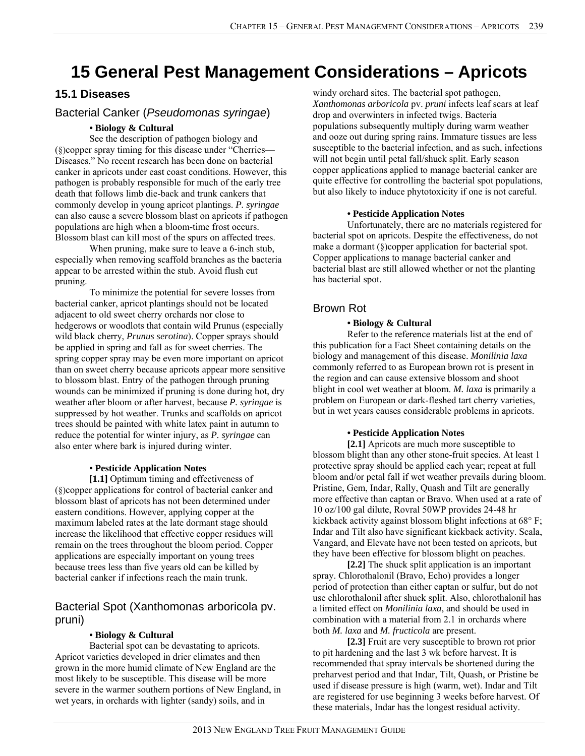# **15 General Pest Management Considerations – Apricots**

# **15.1 Diseases**

# Bacterial Canker (*Pseudomonas syringae*)

# *•* **Biology & Cultural**

 See the description of pathogen biology and (§)copper spray timing for this disease under "Cherries— Diseases." No recent research has been done on bacterial canker in apricots under east coast conditions. However, this pathogen is probably responsible for much of the early tree death that follows limb die-back and trunk cankers that commonly develop in young apricot plantings. *P. syringae* can also cause a severe blossom blast on apricots if pathogen populations are high when a bloom-time frost occurs. Blossom blast can kill most of the spurs on affected trees.

 When pruning, make sure to leave a 6-inch stub, especially when removing scaffold branches as the bacteria appear to be arrested within the stub. Avoid flush cut pruning.

 To minimize the potential for severe losses from bacterial canker, apricot plantings should not be located adjacent to old sweet cherry orchards nor close to hedgerows or woodlots that contain wild Prunus (especially wild black cherry, *Prunus serotina*). Copper sprays should be applied in spring and fall as for sweet cherries. The spring copper spray may be even more important on apricot than on sweet cherry because apricots appear more sensitive to blossom blast. Entry of the pathogen through pruning wounds can be minimized if pruning is done during hot, dry weather after bloom or after harvest, because *P. syringae* is suppressed by hot weather. Trunks and scaffolds on apricot trees should be painted with white latex paint in autumn to reduce the potential for winter injury, as *P. syringae* can also enter where bark is injured during winter.

# **• Pesticide Application Notes**

 **[1.1]** Optimum timing and effectiveness of (§)copper applications for control of bacterial canker and blossom blast of apricots has not been determined under eastern conditions. However, applying copper at the maximum labeled rates at the late dormant stage should increase the likelihood that effective copper residues will remain on the trees throughout the bloom period. Copper applications are especially important on young trees because trees less than five years old can be killed by bacterial canker if infections reach the main trunk.

# Bacterial Spot (Xanthomonas arboricola pv. pruni)

# **• Biology & Cultural**

Bacterial spot can be devastating to apricots. Apricot varieties developed in drier climates and then grown in the more humid climate of New England are the most likely to be susceptible. This disease will be more severe in the warmer southern portions of New England, in wet years, in orchards with lighter (sandy) soils, and in

windy orchard sites. The bacterial spot pathogen, *Xanthomonas arboricola* pv. *pruni* infects leaf scars at leaf drop and overwinters in infected twigs. Bacteria populations subsequently multiply during warm weather and ooze out during spring rains. Immature tissues are less susceptible to the bacterial infection, and as such, infections will not begin until petal fall/shuck split. Early season copper applications applied to manage bacterial canker are quite effective for controlling the bacterial spot populations, but also likely to induce phytotoxicity if one is not careful.

### **• Pesticide Application Notes**

Unfortunately, there are no materials registered for bacterial spot on apricots. Despite the effectiveness, do not make a dormant (§)copper application for bacterial spot. Copper applications to manage bacterial canker and bacterial blast are still allowed whether or not the planting has bacterial spot.

# Brown Rot

# **• Biology & Cultural**

 Refer to the reference materials list at the end of this publication for a Fact Sheet containing details on the biology and management of this disease. *Monilinia laxa* commonly referred to as European brown rot is present in the region and can cause extensive blossom and shoot blight in cool wet weather at bloom. *M. laxa* is primarily a problem on European or dark-fleshed tart cherry varieties, but in wet years causes considerable problems in apricots.

#### **• Pesticide Application Notes**

 **[2.1]** Apricots are much more susceptible to blossom blight than any other stone-fruit species. At least 1 protective spray should be applied each year; repeat at full bloom and/or petal fall if wet weather prevails during bloom. Pristine, Gem, Indar, Rally, Quash and Tilt are generally more effective than captan or Bravo. When used at a rate of 10 oz/100 gal dilute, Rovral 50WP provides 24-48 hr kickback activity against blossom blight infections at 68° F; Indar and Tilt also have significant kickback activity. Scala, Vangard, and Elevate have not been tested on apricots, but they have been effective for blossom blight on peaches.

 **[2.2]** The shuck split application is an important spray. Chlorothalonil (Bravo, Echo) provides a longer period of protection than either captan or sulfur, but do not use chlorothalonil after shuck split. Also, chlorothalonil has a limited effect on *Monilinia laxa*, and should be used in combination with a material from 2.1 in orchards where both *M. laxa* and *M. fructicola* are present.

 **[2.3]** Fruit are very susceptible to brown rot prior to pit hardening and the last 3 wk before harvest. It is recommended that spray intervals be shortened during the preharvest period and that Indar, Tilt, Quash, or Pristine be used if disease pressure is high (warm, wet). Indar and Tilt are registered for use beginning 3 weeks before harvest. Of these materials, Indar has the longest residual activity.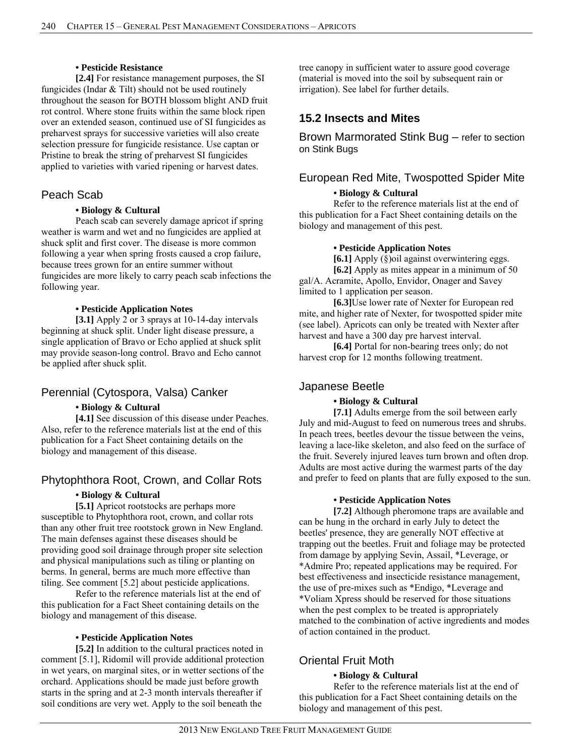#### **• Pesticide Resistance**

 **[2.4]** For resistance management purposes, the SI fungicides (Indar & Tilt) should not be used routinely throughout the season for BOTH blossom blight AND fruit rot control. Where stone fruits within the same block ripen over an extended season, continued use of SI fungicides as preharvest sprays for successive varieties will also create selection pressure for fungicide resistance. Use captan or Pristine to break the string of preharvest SI fungicides applied to varieties with varied ripening or harvest dates.

# Peach Scab

### **• Biology & Cultural**

Peach scab can severely damage apricot if spring weather is warm and wet and no fungicides are applied at shuck split and first cover. The disease is more common following a year when spring frosts caused a crop failure, because trees grown for an entire summer without fungicides are more likely to carry peach scab infections the following year.

#### **• Pesticide Application Notes**

 **[3.1]** Apply 2 or 3 sprays at 10-14-day intervals beginning at shuck split. Under light disease pressure, a single application of Bravo or Echo applied at shuck split may provide season-long control. Bravo and Echo cannot be applied after shuck split.

# Perennial (Cytospora, Valsa) Canker

# **• Biology & Cultural**

 **[4.1]** See discussion of this disease under Peaches. Also, refer to the reference materials list at the end of this publication for a Fact Sheet containing details on the biology and management of this disease.

# Phytophthora Root, Crown, and Collar Rots

### **• Biology & Cultural**

 **[5.1]** Apricot rootstocks are perhaps more susceptible to Phytophthora root, crown, and collar rots than any other fruit tree rootstock grown in New England. The main defenses against these diseases should be providing good soil drainage through proper site selection and physical manipulations such as tiling or planting on berms. In general, berms are much more effective than tiling. See comment [5.2] about pesticide applications.

 Refer to the reference materials list at the end of this publication for a Fact Sheet containing details on the biology and management of this disease.

#### **• Pesticide Application Notes**

[5.2] In addition to the cultural practices noted in comment [5.1], Ridomil will provide additional protection in wet years, on marginal sites, or in wetter sections of the orchard. Applications should be made just before growth starts in the spring and at 2-3 month intervals thereafter if soil conditions are very wet. Apply to the soil beneath the

tree canopy in sufficient water to assure good coverage (material is moved into the soil by subsequent rain or irrigation). See label for further details.

# **15.2 Insects and Mites**

Brown Marmorated Stink Bug – refer to section on Stink Bugs

# European Red Mite, Twospotted Spider Mite

### **• Biology & Cultural**

 Refer to the reference materials list at the end of this publication for a Fact Sheet containing details on the biology and management of this pest.

#### **• Pesticide Application Notes**

 **[6.1]** Apply (§)oil against overwintering eggs. **[6.2]** Apply as mites appear in a minimum of 50 gal/A. Acramite, Apollo, Envidor, Onager and Savey limited to 1 application per season.

**[6.3]**Use lower rate of Nexter for European red mite, and higher rate of Nexter, for twospotted spider mite (see label). Apricots can only be treated with Nexter after harvest and have a 300 day pre harvest interval.

**[6.4]** Portal for non-bearing trees only; do not harvest crop for 12 months following treatment.

# Japanese Beetle

# **• Biology & Cultural**

**[7.1]** Adults emerge from the soil between early July and mid-August to feed on numerous trees and shrubs. In peach trees, beetles devour the tissue between the veins, leaving a lace-like skeleton, and also feed on the surface of the fruit. Severely injured leaves turn brown and often drop. Adults are most active during the warmest parts of the day and prefer to feed on plants that are fully exposed to the sun.

#### **• Pesticide Application Notes**

**[7.2]** Although pheromone traps are available and can be hung in the orchard in early July to detect the beetles' presence, they are generally NOT effective at trapping out the beetles. Fruit and foliage may be protected from damage by applying Sevin, Assail, \*Leverage, or \*Admire Pro; repeated applications may be required. For best effectiveness and insecticide resistance management, the use of pre-mixes such as \*Endigo, \*Leverage and \*Voliam Xpress should be reserved for those situations when the pest complex to be treated is appropriately matched to the combination of active ingredients and modes of action contained in the product.

# Oriental Fruit Moth

#### **• Biology & Cultural**

 Refer to the reference materials list at the end of this publication for a Fact Sheet containing details on the biology and management of this pest.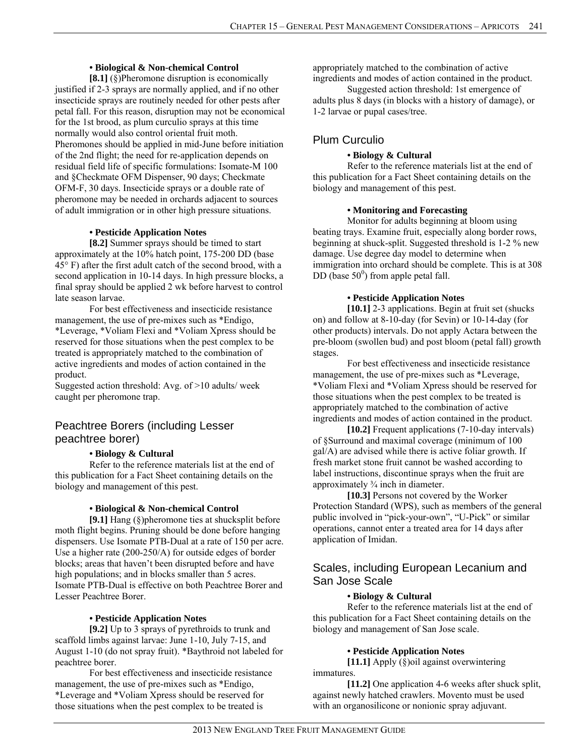#### **• Biological & Non-chemical Control**

 **[8.1]** (§)Pheromone disruption is economically justified if 2-3 sprays are normally applied, and if no other insecticide sprays are routinely needed for other pests after petal fall. For this reason, disruption may not be economical for the 1st brood, as plum curculio sprays at this time normally would also control oriental fruit moth. Pheromones should be applied in mid-June before initiation of the 2nd flight; the need for re-application depends on residual field life of specific formulations: Isomate-M 100 and §Checkmate OFM Dispenser, 90 days; Checkmate OFM-F, 30 days. Insecticide sprays or a double rate of pheromone may be needed in orchards adjacent to sources of adult immigration or in other high pressure situations.

### **• Pesticide Application Notes**

 **[8.2]** Summer sprays should be timed to start approximately at the 10% hatch point, 175-200 DD (base 45° F) after the first adult catch of the second brood, with a second application in 10-14 days. In high pressure blocks, a final spray should be applied 2 wk before harvest to control late season larvae.

For best effectiveness and insecticide resistance management, the use of pre-mixes such as \*Endigo, \*Leverage, \*Voliam Flexi and \*Voliam Xpress should be reserved for those situations when the pest complex to be treated is appropriately matched to the combination of active ingredients and modes of action contained in the product.

Suggested action threshold: Avg. of >10 adults/ week caught per pheromone trap.

# Peachtree Borers (including Lesser peachtree borer)

#### **• Biology & Cultural**

 Refer to the reference materials list at the end of this publication for a Fact Sheet containing details on the biology and management of this pest.

#### **• Biological & Non-chemical Control**

**[9.1]** Hang (§)pheromone ties at shucksplit before moth flight begins. Pruning should be done before hanging dispensers. Use Isomate PTB-Dual at a rate of 150 per acre. Use a higher rate (200-250/A) for outside edges of border blocks; areas that haven't been disrupted before and have high populations; and in blocks smaller than 5 acres. Isomate PTB-Dual is effective on both Peachtree Borer and Lesser Peachtree Borer.

#### **• Pesticide Application Notes**

**[9.2]** Up to 3 sprays of pyrethroids to trunk and scaffold limbs against larvae: June 1-10, July 7-15, and August 1-10 (do not spray fruit). \*Baythroid not labeled for peachtree borer.

 For best effectiveness and insecticide resistance management, the use of pre-mixes such as \*Endigo, \*Leverage and \*Voliam Xpress should be reserved for those situations when the pest complex to be treated is

appropriately matched to the combination of active ingredients and modes of action contained in the product.

Suggested action threshold: 1st emergence of adults plus 8 days (in blocks with a history of damage), or 1-2 larvae or pupal cases/tree.

# Plum Curculio

### **• Biology & Cultural**

 Refer to the reference materials list at the end of this publication for a Fact Sheet containing details on the biology and management of this pest.

#### **• Monitoring and Forecasting**

Monitor for adults beginning at bloom using beating trays. Examine fruit, especially along border rows, beginning at shuck-split. Suggested threshold is 1-2 % new damage. Use degree day model to determine when immigration into orchard should be complete. This is at 308 DD (base  $50^0$ ) from apple petal fall.

#### **• Pesticide Application Notes**

**[10.1]** 2-3 applications. Begin at fruit set (shucks on) and follow at 8-10-day (for Sevin) or 10-14-day (for other products) intervals. Do not apply Actara between the pre-bloom (swollen bud) and post bloom (petal fall) growth stages.

For best effectiveness and insecticide resistance management, the use of pre-mixes such as \*Leverage, \*Voliam Flexi and \*Voliam Xpress should be reserved for those situations when the pest complex to be treated is appropriately matched to the combination of active ingredients and modes of action contained in the product.

 **[10.2]** Frequent applications (7-10-day intervals) of §Surround and maximal coverage (minimum of 100 gal/A) are advised while there is active foliar growth. If fresh market stone fruit cannot be washed according to label instructions, discontinue sprays when the fruit are approximately ¾ inch in diameter.

**[10.3]** Persons not covered by the Worker Protection Standard (WPS), such as members of the general public involved in "pick-your-own", "U-Pick" or similar operations, cannot enter a treated area for 14 days after application of Imidan.

# Scales, including European Lecanium and San Jose Scale

#### **• Biology & Cultural**

Refer to the reference materials list at the end of this publication for a Fact Sheet containing details on the biology and management of San Jose scale.

#### **• Pesticide Application Notes**

**[11.1]** Apply (§)oil against overwintering immatures.

**[11.2]** One application 4-6 weeks after shuck split, against newly hatched crawlers. Movento must be used with an organosilicone or nonionic spray adjuvant.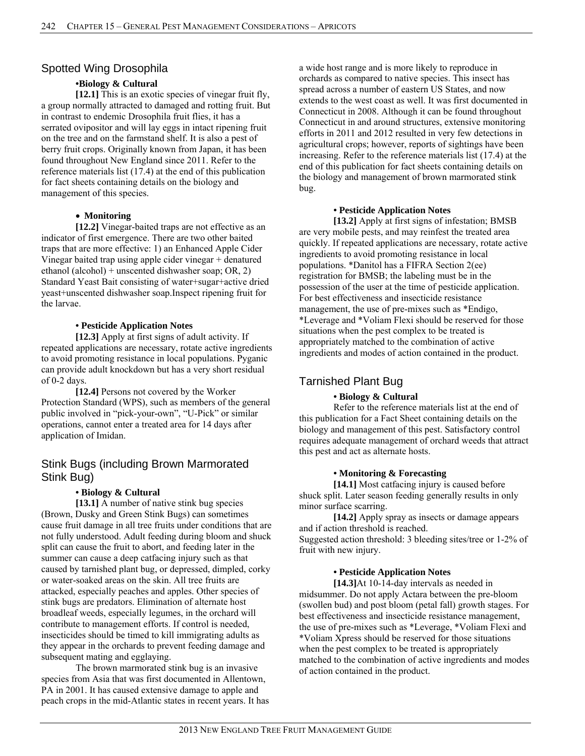# Spotted Wing Drosophila

### **•Biology & Cultural**

[12.1] This is an exotic species of vinegar fruit fly, a group normally attracted to damaged and rotting fruit. But in contrast to endemic Drosophila fruit flies, it has a serrated ovipositor and will lay eggs in intact ripening fruit on the tree and on the farmstand shelf. It is also a pest of berry fruit crops. Originally known from Japan, it has been found throughout New England since 2011. Refer to the reference materials list (17.4) at the end of this publication for fact sheets containing details on the biology and management of this species.

#### **Monitoring**

**[12.2]** Vinegar-baited traps are not effective as an indicator of first emergence. There are two other baited traps that are more effective: 1) an Enhanced Apple Cider Vinegar baited trap using apple cider vinegar + denatured ethanol (alcohol) + unscented dishwasher soap; OR, 2) Standard Yeast Bait consisting of water+sugar+active dried yeast+unscented dishwasher soap.Inspect ripening fruit for the larvae.

### **• Pesticide Application Notes**

**[12.3]** Apply at first signs of adult activity. If repeated applications are necessary, rotate active ingredients to avoid promoting resistance in local populations. Pyganic can provide adult knockdown but has a very short residual of 0-2 days.

**[12.4]** Persons not covered by the Worker Protection Standard (WPS), such as members of the general public involved in "pick-your-own", "U-Pick" or similar operations, cannot enter a treated area for 14 days after application of Imidan.

# Stink Bugs (including Brown Marmorated Stink Bug)

#### **• Biology & Cultural**

**[13.1]** A number of native stink bug species (Brown, Dusky and Green Stink Bugs) can sometimes cause fruit damage in all tree fruits under conditions that are not fully understood. Adult feeding during bloom and shuck split can cause the fruit to abort, and feeding later in the summer can cause a deep catfacing injury such as that caused by tarnished plant bug, or depressed, dimpled, corky or water-soaked areas on the skin. All tree fruits are attacked, especially peaches and apples. Other species of stink bugs are predators. Elimination of alternate host broadleaf weeds, especially legumes, in the orchard will contribute to management efforts. If control is needed, insecticides should be timed to kill immigrating adults as they appear in the orchards to prevent feeding damage and subsequent mating and egglaying.

 The brown marmorated stink bug is an invasive species from Asia that was first documented in Allentown, PA in 2001. It has caused extensive damage to apple and peach crops in the mid-Atlantic states in recent years. It has a wide host range and is more likely to reproduce in orchards as compared to native species. This insect has spread across a number of eastern US States, and now extends to the west coast as well. It was first documented in Connecticut in 2008. Although it can be found throughout Connecticut in and around structures, extensive monitoring efforts in 2011 and 2012 resulted in very few detections in agricultural crops; however, reports of sightings have been increasing. Refer to the reference materials list (17.4) at the end of this publication for fact sheets containing details on the biology and management of brown marmorated stink bug.

### **• Pesticide Application Notes**

**[13.2]** Apply at first signs of infestation; BMSB are very mobile pests, and may reinfest the treated area quickly. If repeated applications are necessary, rotate active ingredients to avoid promoting resistance in local populations. \*Danitol has a FIFRA Section 2(ee) registration for BMSB; the labeling must be in the possession of the user at the time of pesticide application. For best effectiveness and insecticide resistance management, the use of pre-mixes such as \*Endigo, \*Leverage and \*Voliam Flexi should be reserved for those situations when the pest complex to be treated is appropriately matched to the combination of active ingredients and modes of action contained in the product.

# Tarnished Plant Bug

# **• Biology & Cultural**

 Refer to the reference materials list at the end of this publication for a Fact Sheet containing details on the biology and management of this pest. Satisfactory control requires adequate management of orchard weeds that attract this pest and act as alternate hosts.

#### **• Monitoring & Forecasting**

**[14.1]** Most catfacing injury is caused before shuck split. Later season feeding generally results in only minor surface scarring.

 **[14.2]** Apply spray as insects or damage appears and if action threshold is reached. Suggested action threshold: 3 bleeding sites/tree or 1-2% of fruit with new injury.

#### **• Pesticide Application Notes**

 **[14.3]**At 10-14-day intervals as needed in midsummer. Do not apply Actara between the pre-bloom (swollen bud) and post bloom (petal fall) growth stages. For best effectiveness and insecticide resistance management, the use of pre-mixes such as \*Leverage, \*Voliam Flexi and \*Voliam Xpress should be reserved for those situations when the pest complex to be treated is appropriately matched to the combination of active ingredients and modes of action contained in the product.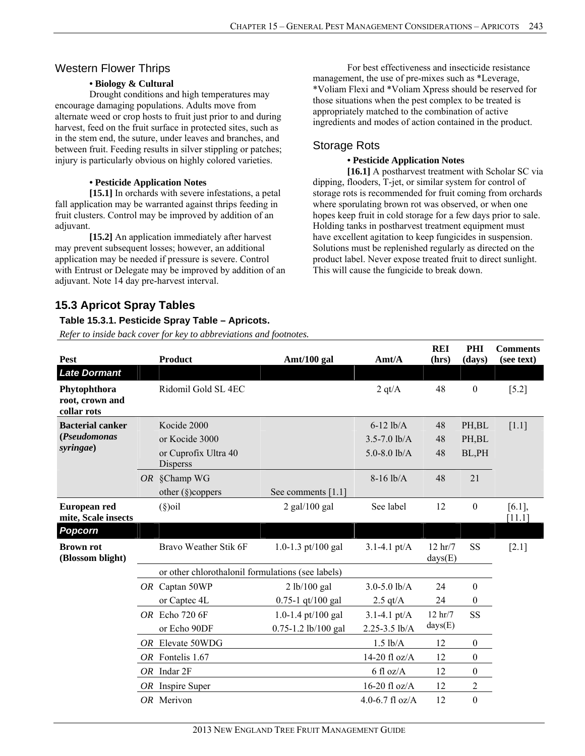# Western Flower Thrips

### **• Biology & Cultural**

 Drought conditions and high temperatures may encourage damaging populations. Adults move from alternate weed or crop hosts to fruit just prior to and during harvest, feed on the fruit surface in protected sites, such as in the stem end, the suture, under leaves and branches, and between fruit. Feeding results in silver stippling or patches; injury is particularly obvious on highly colored varieties.

### **• Pesticide Application Notes**

 **[15.1]** In orchards with severe infestations, a petal fall application may be warranted against thrips feeding in fruit clusters. Control may be improved by addition of an adjuvant.

 **[15.2]** An application immediately after harvest may prevent subsequent losses; however, an additional application may be needed if pressure is severe. Control with Entrust or Delegate may be improved by addition of an adjuvant. Note 14 day pre-harvest interval.

 For best effectiveness and insecticide resistance management, the use of pre-mixes such as \*Leverage, \*Voliam Flexi and \*Voliam Xpress should be reserved for those situations when the pest complex to be treated is appropriately matched to the combination of active ingredients and modes of action contained in the product.

# Storage Rots

### **• Pesticide Application Notes**

**[16.1]** A postharvest treatment with Scholar SC via dipping, flooders, T-jet, or similar system for control of storage rots is recommended for fruit coming from orchards where sporulating brown rot was observed, or when one hopes keep fruit in cold storage for a few days prior to sale. Holding tanks in postharvest treatment equipment must have excellent agitation to keep fungicides in suspension. Solutions must be replenished regularly as directed on the product label. Never expose treated fruit to direct sunlight. This will cause the fungicide to break down.

**REI** 

**PHI** 

**Comments** 

# **15.3 Apricot Spray Tables**

# **Table 15.3.1. Pesticide Spray Table – Apricots.**

| <b>Pest</b>                                          | <b>Product</b>                                                           | Amt/100 gal                               | Amt/A                                               | rei<br>(hrs)                   | 1 1 1 1 <b>1 1 1</b><br>(days) | Comments<br>(see text) |
|------------------------------------------------------|--------------------------------------------------------------------------|-------------------------------------------|-----------------------------------------------------|--------------------------------|--------------------------------|------------------------|
| <b>Late Dormant</b>                                  |                                                                          |                                           |                                                     |                                |                                |                        |
| Phytophthora<br>root, crown and<br>collar rots       | Ridomil Gold SL 4EC                                                      |                                           | $2 \frac{qt}{A}$                                    | 48                             | $\boldsymbol{0}$               | $[5.2]$                |
| <b>Bacterial canker</b><br>(Pseudomonas<br>syringae) | Kocide 2000<br>or Kocide 3000<br>or Cuprofix Ultra 40<br><b>Disperss</b> |                                           | $6-12$ lb/A<br>$3.5 - 7.0$ lb/A<br>$5.0 - 8.0$ lb/A | 48<br>48<br>48                 | PH, BL<br>PH, BL<br>BL,PH      | $[1.1]$                |
|                                                      | OR §Champ WG<br>other $(\S)$ coppers                                     | See comments [1.1]                        | $8-16$ lb/A                                         | 48                             | 21                             |                        |
| European red<br>mite, Scale insects                  | $(\S)$ oil                                                               | $2$ gal/100 gal                           | See label                                           | 12                             | $\boldsymbol{0}$               | $[6.1]$ ,<br>[11.1]    |
| <b>Popcorn</b>                                       |                                                                          |                                           |                                                     |                                |                                |                        |
| <b>Brown rot</b><br>(Blossom blight)                 | Bravo Weather Stik 6F                                                    | 1.0-1.3 pt/100 gal                        | $3.1 - 4.1$ pt/A                                    | 12 hr/7<br>days(E)             | SS                             | $[2.1]$                |
|                                                      | or other chlorothalonil formulations (see labels)                        |                                           |                                                     |                                |                                |                        |
|                                                      | OR Captan 50WP                                                           | 2 lb/100 gal                              | $3.0 - 5.0$ lb/A                                    | 24                             | $\boldsymbol{0}$               |                        |
|                                                      | or Captec 4L                                                             | $0.75 - 1$ qt/100 gal                     | $2.5 \text{ qt/A}$                                  | 24                             | $\boldsymbol{0}$               |                        |
|                                                      | OR Echo 720 6F<br>or Echo 90DF                                           | 1.0-1.4 pt/100 gal<br>0.75-1.2 lb/100 gal | $3.1 - 4.1 \text{ pt/A}$<br>$2.25 - 3.5$ lb/A       | $12 \text{ hr} / 7$<br>days(E) | <b>SS</b>                      |                        |
|                                                      | OR Elevate 50WDG                                                         |                                           | $1.5$ lb/A                                          | 12                             | $\boldsymbol{0}$               |                        |
|                                                      | OR Fontelis 1.67                                                         |                                           | 14-20 fl $oz/A$                                     | 12                             | $\boldsymbol{0}$               |                        |
|                                                      | $OR$ Indar $2F$                                                          |                                           | $6 \text{ fl oz/A}$                                 | 12                             | 0                              |                        |
|                                                      | $OR$ Inspire Super                                                       |                                           | 16-20 fl $oz/A$                                     | 12                             | 2                              |                        |
|                                                      | OR Merivon                                                               |                                           | 4.0-6.7 fl $oz/A$                                   | 12                             | $\boldsymbol{0}$               |                        |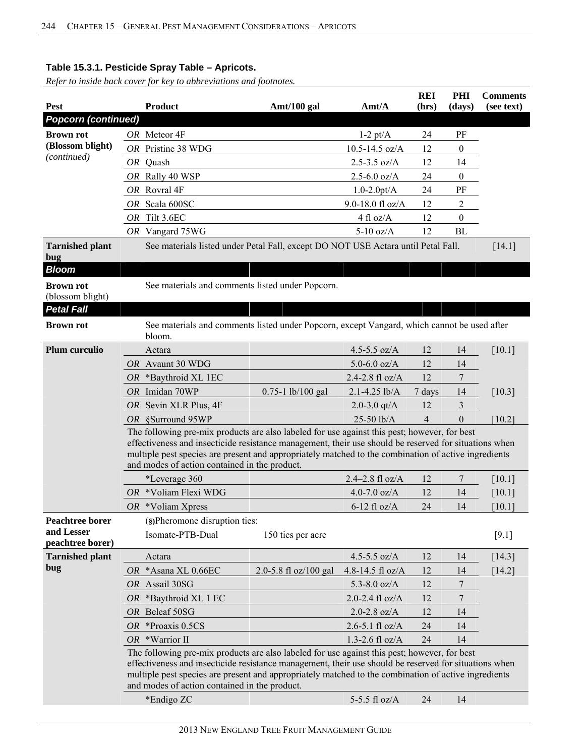| <b>Pest</b>                          |    | <b>Product</b>                                                                                                                                                                                                                                                                                                                                                 | Amt/100 gal                                                                                 | Amt/A               | <b>REI</b><br>(hrs) | PHI<br>(days)    | <b>Comments</b><br>(see text) |  |  |
|--------------------------------------|----|----------------------------------------------------------------------------------------------------------------------------------------------------------------------------------------------------------------------------------------------------------------------------------------------------------------------------------------------------------------|---------------------------------------------------------------------------------------------|---------------------|---------------------|------------------|-------------------------------|--|--|
| <b>Popcorn (continued)</b>           |    |                                                                                                                                                                                                                                                                                                                                                                |                                                                                             |                     |                     |                  |                               |  |  |
| <b>Brown rot</b>                     |    | OR Meteor 4F                                                                                                                                                                                                                                                                                                                                                   |                                                                                             | $1-2$ pt/A          | 24                  | PF               |                               |  |  |
| (Blossom blight)                     |    | OR Pristine 38 WDG                                                                                                                                                                                                                                                                                                                                             |                                                                                             | $10.5 - 14.5$ oz/A  | 12                  | $\boldsymbol{0}$ |                               |  |  |
| (continued)                          |    | OR Quash                                                                                                                                                                                                                                                                                                                                                       |                                                                                             | $2.5 - 3.5$ oz/A    | 12                  | 14               |                               |  |  |
|                                      |    | OR Rally 40 WSP                                                                                                                                                                                                                                                                                                                                                |                                                                                             | $2.5 - 6.0$ oz/A    | 24                  | $\boldsymbol{0}$ |                               |  |  |
|                                      |    | OR Rovral 4F                                                                                                                                                                                                                                                                                                                                                   |                                                                                             | $1.0 - 2.0pt/A$     | 24                  | PF               |                               |  |  |
|                                      |    | OR Scala 600SC                                                                                                                                                                                                                                                                                                                                                 |                                                                                             | 9.0-18.0 fl oz/A    | 12                  | $\overline{c}$   |                               |  |  |
|                                      |    | OR Tilt 3.6EC                                                                                                                                                                                                                                                                                                                                                  |                                                                                             | $4$ fl oz/A         | 12                  | $\boldsymbol{0}$ |                               |  |  |
|                                      |    | OR Vangard 75WG                                                                                                                                                                                                                                                                                                                                                |                                                                                             | $5-10$ oz/A         | 12                  | <b>BL</b>        |                               |  |  |
| <b>Tarnished plant</b><br>bug        |    |                                                                                                                                                                                                                                                                                                                                                                | See materials listed under Petal Fall, except DO NOT USE Actara until Petal Fall.           |                     |                     |                  | [14.1]                        |  |  |
| <b>Bloom</b>                         |    |                                                                                                                                                                                                                                                                                                                                                                |                                                                                             |                     |                     |                  |                               |  |  |
| <b>Brown rot</b><br>(blossom blight) |    |                                                                                                                                                                                                                                                                                                                                                                | See materials and comments listed under Popcorn.                                            |                     |                     |                  |                               |  |  |
| <b>Petal Fall</b>                    |    |                                                                                                                                                                                                                                                                                                                                                                |                                                                                             |                     |                     |                  |                               |  |  |
| <b>Brown rot</b>                     |    | bloom.                                                                                                                                                                                                                                                                                                                                                         | See materials and comments listed under Popcorn, except Vangard, which cannot be used after |                     |                     |                  |                               |  |  |
| <b>Plum curculio</b>                 |    | Actara                                                                                                                                                                                                                                                                                                                                                         |                                                                                             | 4.5-5.5 $oz/A$      | 12                  | 14               | [10.1]                        |  |  |
|                                      |    | OR Avaunt 30 WDG                                                                                                                                                                                                                                                                                                                                               |                                                                                             | 5.0-6.0 $oz/A$      | 12                  | 14               |                               |  |  |
|                                      |    | OR *Baythroid XL 1EC                                                                                                                                                                                                                                                                                                                                           |                                                                                             | 2.4-2.8 fl oz/A     | 12                  | 7                |                               |  |  |
|                                      |    | OR Imidan 70WP                                                                                                                                                                                                                                                                                                                                                 | $0.75 - 1$ lb/100 gal                                                                       | $2.1 - 4.25$ lb/A   | 7 days              | 14               | [10.3]                        |  |  |
|                                      |    | OR Sevin XLR Plus, 4F                                                                                                                                                                                                                                                                                                                                          |                                                                                             | 2.0-3.0 $qt/A$      | 12                  | 3                |                               |  |  |
|                                      |    | OR §Surround 95WP                                                                                                                                                                                                                                                                                                                                              |                                                                                             | $25-50$ lb/A        | $\overline{4}$      | $\theta$         | [10.2]                        |  |  |
|                                      |    | The following pre-mix products are also labeled for use against this pest; however, for best<br>effectiveness and insecticide resistance management, their use should be reserved for situations when<br>multiple pest species are present and appropriately matched to the combination of active ingredients<br>and modes of action contained in the product. |                                                                                             |                     |                     |                  |                               |  |  |
|                                      |    | *Leverage 360                                                                                                                                                                                                                                                                                                                                                  |                                                                                             | $2.4 - 2.8$ fl oz/A | 12                  | 7                | [10.1]                        |  |  |
|                                      |    | OR *Voliam Flexi WDG                                                                                                                                                                                                                                                                                                                                           |                                                                                             | 4.0-7.0 $oz/A$      | 12                  | 14               | [10.1]                        |  |  |
|                                      |    | $OR$ *Voliam Xpress                                                                                                                                                                                                                                                                                                                                            |                                                                                             | $6-12$ fl oz/A      | 24                  | 14               | [10.1]                        |  |  |
| <b>Peachtree borer</b>               |    | (§)Pheromone disruption ties:                                                                                                                                                                                                                                                                                                                                  |                                                                                             |                     |                     |                  |                               |  |  |
| and Lesser<br>peachtree borer)       |    | Isomate-PTB-Dual                                                                                                                                                                                                                                                                                                                                               | 150 ties per acre                                                                           |                     |                     |                  | $[9.1]$                       |  |  |
| <b>Tarnished plant</b>               |    | Actara                                                                                                                                                                                                                                                                                                                                                         |                                                                                             | 4.5-5.5 $oz/A$      | 12                  | 14               | $[14.3]$                      |  |  |
| bug                                  |    | OR *Asana XL 0.66EC                                                                                                                                                                                                                                                                                                                                            | 2.0-5.8 fl oz/100 gal                                                                       | 4.8-14.5 fl $oz/A$  | 12                  | 14               | $[14.2]$                      |  |  |
|                                      |    | OR Assail 30SG                                                                                                                                                                                                                                                                                                                                                 |                                                                                             | 5.3-8.0 $oz/A$      | 12                  | 7                |                               |  |  |
|                                      |    | OR *Baythroid XL 1 EC                                                                                                                                                                                                                                                                                                                                          |                                                                                             | $2.0 - 2.4$ fl oz/A | 12                  | 7                |                               |  |  |
|                                      | OR | Beleaf 50SG                                                                                                                                                                                                                                                                                                                                                    |                                                                                             | $2.0 - 2.8$ oz/A    | 12                  | 14               |                               |  |  |
|                                      | OR | *Proaxis 0.5CS                                                                                                                                                                                                                                                                                                                                                 |                                                                                             | $2.6 - 5.1$ fl oz/A | 24                  | 14               |                               |  |  |
|                                      |    | $OR$ *Warrior II                                                                                                                                                                                                                                                                                                                                               |                                                                                             | $1.3 - 2.6$ fl oz/A | 24                  | 14               |                               |  |  |
|                                      |    | The following pre-mix products are also labeled for use against this pest; however, for best<br>effectiveness and insecticide resistance management, their use should be reserved for situations when<br>multiple pest species are present and appropriately matched to the combination of active ingredients<br>and modes of action contained in the product. |                                                                                             |                     |                     |                  |                               |  |  |
|                                      |    | *Endigo ZC                                                                                                                                                                                                                                                                                                                                                     |                                                                                             | 5-5.5 fl $oz/A$     | 24                  | 14               |                               |  |  |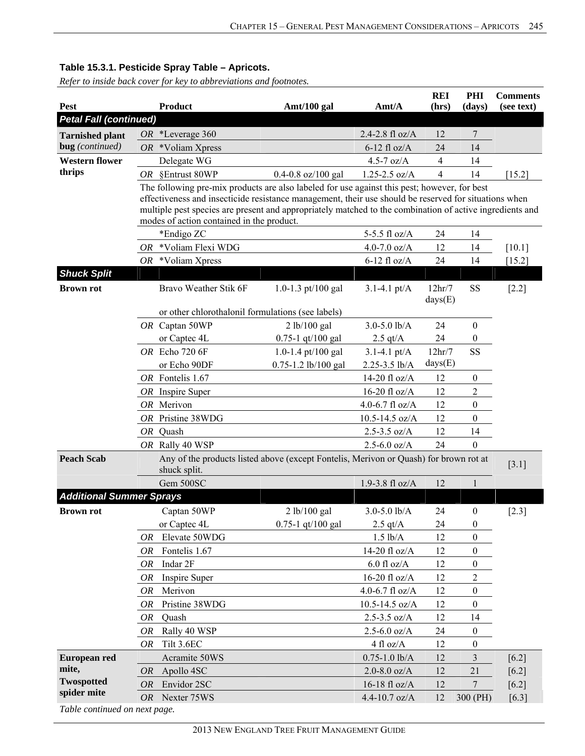*Refer to inside back cover for key to abbreviations and footnotes.*

|                                 |                                                                                                       |                                                                                                                                                       |                        |                    | <b>REI</b> | PHI              | <b>Comments</b> |
|---------------------------------|-------------------------------------------------------------------------------------------------------|-------------------------------------------------------------------------------------------------------------------------------------------------------|------------------------|--------------------|------------|------------------|-----------------|
| <b>Pest</b>                     |                                                                                                       | Product                                                                                                                                               | Amt/100 gal            | Amt/A              | (hrs)      | (days)           | (see text)      |
| <b>Petal Fall (continued)</b>   |                                                                                                       |                                                                                                                                                       |                        |                    |            |                  |                 |
| <b>Tarnished plant</b>          |                                                                                                       | OR *Leverage 360                                                                                                                                      |                        | 2.4-2.8 fl oz/A    | 12         | 7                |                 |
| bug (continued)                 | OR                                                                                                    | *Voliam Xpress                                                                                                                                        |                        | $6-12$ fl oz/A     | 24         | 14               |                 |
| <b>Western flower</b>           |                                                                                                       | Delegate WG                                                                                                                                           |                        | 4.5-7 $oz/A$       | 4          | 14               |                 |
| thrips                          |                                                                                                       | OR §Entrust 80WP                                                                                                                                      | $0.4 - 0.8$ oz/100 gal | $1.25 - 2.5$ oz/A  | 4          | 14               | [15.2]          |
|                                 |                                                                                                       | The following pre-mix products are also labeled for use against this pest; however, for best                                                          |                        |                    |            |                  |                 |
|                                 |                                                                                                       | effectiveness and insecticide resistance management, their use should be reserved for situations when                                                 |                        |                    |            |                  |                 |
|                                 |                                                                                                       | multiple pest species are present and appropriately matched to the combination of active ingredients and<br>modes of action contained in the product. |                        |                    |            |                  |                 |
|                                 |                                                                                                       | *Endigo ZC                                                                                                                                            |                        | 5-5.5 fl oz/A      | 24         | 14               |                 |
|                                 | OR                                                                                                    | *Voliam Flexi WDG                                                                                                                                     |                        | 4.0-7.0 $oz/A$     | 12         | 14               | [10.1]          |
|                                 | OR                                                                                                    | *Voliam Xpress                                                                                                                                        |                        | $6-12$ fl oz/A     | 24         | 14               | $[15.2]$        |
| <b>Shuck Split</b>              |                                                                                                       |                                                                                                                                                       |                        |                    |            |                  |                 |
| <b>Brown rot</b>                |                                                                                                       | Bravo Weather Stik 6F                                                                                                                                 | 1.0-1.3 pt/100 gal     | $3.1 - 4.1$ pt/A   | 12hr/7     | <b>SS</b>        | $[2.2]$         |
|                                 |                                                                                                       |                                                                                                                                                       |                        |                    | days(E)    |                  |                 |
|                                 |                                                                                                       | or other chlorothalonil formulations (see labels)                                                                                                     |                        |                    |            |                  |                 |
|                                 |                                                                                                       | OR Captan 50WP                                                                                                                                        | 2 lb/100 gal           | $3.0 - 5.0$ lb/A   | 24         | $\boldsymbol{0}$ |                 |
|                                 |                                                                                                       | or Captec 4L                                                                                                                                          | $0.75 - 1$ qt/100 gal  | $2.5$ qt/A         | 24         | $\boldsymbol{0}$ |                 |
|                                 |                                                                                                       | OR Echo 720 6F                                                                                                                                        | 1.0-1.4 pt/100 gal     | $3.1 - 4.1$ pt/A   | 12hr/7     | SS               |                 |
|                                 |                                                                                                       | or Echo 90DF                                                                                                                                          | 0.75-1.2 lb/100 gal    | 2.25-3.5 lb/A      | days(E)    |                  |                 |
|                                 |                                                                                                       | OR Fontelis 1.67                                                                                                                                      |                        | 14-20 fl oz/A      | 12         | $\boldsymbol{0}$ |                 |
|                                 |                                                                                                       | $OR$ Inspire Super                                                                                                                                    |                        | 16-20 fl $oz/A$    | 12         | $\overline{2}$   |                 |
|                                 |                                                                                                       | OR Merivon                                                                                                                                            |                        | 4.0-6.7 fl $oz/A$  | 12         | $\boldsymbol{0}$ |                 |
|                                 |                                                                                                       | OR Pristine 38WDG                                                                                                                                     |                        | $10.5 - 14.5$ oz/A | 12         | $\mathbf{0}$     |                 |
|                                 |                                                                                                       | OR Quash                                                                                                                                              |                        | $2.5 - 3.5$ oz/A   | 12         | 14               |                 |
|                                 |                                                                                                       | OR Rally 40 WSP                                                                                                                                       |                        | $2.5 - 6.0$ oz/A   | 24         | $\boldsymbol{0}$ |                 |
| <b>Peach Scab</b>               | Any of the products listed above (except Fontelis, Merivon or Quash) for brown rot at<br>shuck split. |                                                                                                                                                       |                        |                    |            |                  | $[3.1]$         |
|                                 |                                                                                                       | Gem 500SC                                                                                                                                             |                        | 1.9-3.8 fl oz/A    | 12         | 1                |                 |
| <b>Additional Summer Sprays</b> |                                                                                                       |                                                                                                                                                       |                        |                    |            |                  |                 |
| <b>Brown rot</b>                |                                                                                                       | Captan 50WP                                                                                                                                           | 2 lb/100 gal           | $3.0 - 5.0$ lb/A   | 24         | $\boldsymbol{0}$ | $[2.3]$         |
|                                 |                                                                                                       | or Captec 4L                                                                                                                                          | $0.75 - 1$ qt/100 gal  | $2.5$ qt/A         | 24         | $\boldsymbol{0}$ |                 |
|                                 | OR                                                                                                    | Elevate 50WDG                                                                                                                                         |                        | $1.5$ lb/A         | 12         | $\boldsymbol{0}$ |                 |
|                                 | OR                                                                                                    | Fontelis 1.67                                                                                                                                         |                        | 14-20 fl oz/A      | 12         | 0                |                 |
|                                 | OR                                                                                                    | Indar 2F                                                                                                                                              |                        | $6.0$ fl oz/A $\,$ | 12         | 0                |                 |
|                                 | <b>OR</b>                                                                                             | Inspire Super                                                                                                                                         |                        | 16-20 fl oz/ $A$   | 12         | $\overline{c}$   |                 |
|                                 | 0R                                                                                                    | Merivon                                                                                                                                               |                        | 4.0-6.7 $fl$ oz/A  | 12         | $\boldsymbol{0}$ |                 |
|                                 | OR                                                                                                    | Pristine 38WDG                                                                                                                                        |                        | 10.5-14.5 oz/A     | 12         | 0                |                 |
|                                 | OR                                                                                                    | Quash                                                                                                                                                 |                        | $2.5 - 3.5$ oz/A   | 12         | 14               |                 |
|                                 | OR                                                                                                    | Rally 40 WSP                                                                                                                                          |                        | $2.5 - 6.0$ oz/A   | 24         | 0                |                 |
|                                 | <b>OR</b>                                                                                             | Tilt 3.6EC                                                                                                                                            |                        | 4 fl oz/A          | 12         | 0                |                 |
| European red                    |                                                                                                       | Acramite 50WS                                                                                                                                         |                        | $0.75 - 1.0$ lb/A  | 12         | 3                | $[6.2]$         |
| mite,                           | <i>OR</i>                                                                                             | Apollo 4SC                                                                                                                                            |                        | $2.0 - 8.0$ oz/A   | 12         | 21               | $[6.2]$         |
| <b>Twospotted</b>               | <b>OR</b>                                                                                             | Envidor 2SC                                                                                                                                           |                        | 16-18 fl oz/A      | 12         | 7                | $[6.2]$         |
| spider mite                     |                                                                                                       | OR Nexter 75WS                                                                                                                                        |                        | 4.4-10.7 oz/ $A$   | 12         | 300 (PH)         | [6.3]           |
| Table continued on next page.   |                                                                                                       |                                                                                                                                                       |                        |                    |            |                  |                 |

2013 NEW ENGLAND TREE FRUIT MANAGEMENT GUIDE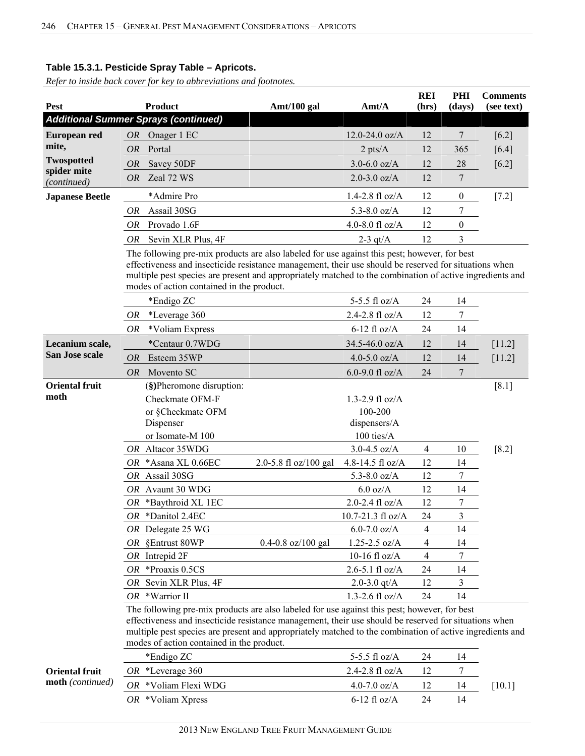| Pest                              |                                                                                                                                                                                                                                                                                                                   | <b>Product</b>                                                                                                                                                                                        | Amt/100 gal            | Amt/A                             | <b>REI</b><br>(hrs) | PHI<br>(days)    | <b>Comments</b><br>(see text) |  |
|-----------------------------------|-------------------------------------------------------------------------------------------------------------------------------------------------------------------------------------------------------------------------------------------------------------------------------------------------------------------|-------------------------------------------------------------------------------------------------------------------------------------------------------------------------------------------------------|------------------------|-----------------------------------|---------------------|------------------|-------------------------------|--|
|                                   |                                                                                                                                                                                                                                                                                                                   | <b>Additional Summer Sprays (continued)</b>                                                                                                                                                           |                        |                                   |                     |                  |                               |  |
| <b>European red</b>               | OR                                                                                                                                                                                                                                                                                                                | Onager 1 EC                                                                                                                                                                                           |                        | $12.0 - 24.0$ oz/A                | 12                  | 7                | [6.2]                         |  |
| mite,                             | <b>OR</b>                                                                                                                                                                                                                                                                                                         | Portal                                                                                                                                                                                                |                        | $2$ pts/ $A$                      | 12                  | 365              | [6.4]                         |  |
| <b>Twospotted</b>                 | <i>OR</i>                                                                                                                                                                                                                                                                                                         | Savey 50DF                                                                                                                                                                                            |                        | $3.0 - 6.0$ oz/A                  | 12                  | 28               | $[6.2]$                       |  |
| spider mite                       | <b>OR</b>                                                                                                                                                                                                                                                                                                         | Zeal 72 WS                                                                                                                                                                                            |                        | $2.0 - 3.0$ oz/A                  | 12                  | 7                |                               |  |
| (continued)                       |                                                                                                                                                                                                                                                                                                                   |                                                                                                                                                                                                       |                        |                                   |                     |                  |                               |  |
| <b>Japanese Beetle</b>            |                                                                                                                                                                                                                                                                                                                   | *Admire Pro                                                                                                                                                                                           |                        | $1.4 - 2.8$ fl oz/A               | 12                  | $\boldsymbol{0}$ | $[7.2]$                       |  |
|                                   | OR                                                                                                                                                                                                                                                                                                                | Assail 30SG                                                                                                                                                                                           |                        | 5.3-8.0 $oz/A$                    | 12                  | 7                |                               |  |
|                                   | OR                                                                                                                                                                                                                                                                                                                | Provado 1.6F                                                                                                                                                                                          |                        | 4.0-8.0 fl oz/A                   | 12                  | 0                |                               |  |
|                                   | OR                                                                                                                                                                                                                                                                                                                | Sevin XLR Plus, 4F                                                                                                                                                                                    |                        | 2-3 $qt/A$                        | 12                  | 3                |                               |  |
|                                   |                                                                                                                                                                                                                                                                                                                   | The following pre-mix products are also labeled for use against this pest; however, for best<br>effectiveness and insecticide resistance management, their use should be reserved for situations when |                        |                                   |                     |                  |                               |  |
|                                   |                                                                                                                                                                                                                                                                                                                   | multiple pest species are present and appropriately matched to the combination of active ingredients and                                                                                              |                        |                                   |                     |                  |                               |  |
|                                   |                                                                                                                                                                                                                                                                                                                   | modes of action contained in the product.                                                                                                                                                             |                        |                                   |                     |                  |                               |  |
|                                   |                                                                                                                                                                                                                                                                                                                   | *Endigo ZC                                                                                                                                                                                            |                        | 5-5.5 fl oz/A                     | 24                  | 14               |                               |  |
|                                   | OR                                                                                                                                                                                                                                                                                                                | *Leverage 360                                                                                                                                                                                         |                        | 2.4-2.8 fl $oz/A$                 | 12                  | 7                |                               |  |
|                                   | OR                                                                                                                                                                                                                                                                                                                | *Voliam Express                                                                                                                                                                                       |                        | $6-12$ fl oz/A                    | 24                  | 14               |                               |  |
| Lecanium scale,<br>San Jose scale |                                                                                                                                                                                                                                                                                                                   | *Centaur 0.7WDG                                                                                                                                                                                       |                        | 34.5-46.0 oz/A                    | 12                  | 14               | $[11.2]$                      |  |
|                                   | <i>OR</i>                                                                                                                                                                                                                                                                                                         | Esteem 35WP                                                                                                                                                                                           |                        | 4.0-5.0 $oz/A$                    | 12                  | 14               | $[11.2]$                      |  |
|                                   | <i>OR</i>                                                                                                                                                                                                                                                                                                         | Movento SC                                                                                                                                                                                            |                        | 6.0-9.0 fl $oz/A$                 | 24                  | 7                |                               |  |
| <b>Oriental fruit</b>             |                                                                                                                                                                                                                                                                                                                   | (§)Pheromone disruption:                                                                                                                                                                              |                        |                                   |                     |                  | $[8.1]$                       |  |
| moth                              |                                                                                                                                                                                                                                                                                                                   | Checkmate OFM-F                                                                                                                                                                                       |                        | $1.3 - 2.9$ fl oz/A               |                     |                  |                               |  |
|                                   |                                                                                                                                                                                                                                                                                                                   | or §Checkmate OFM                                                                                                                                                                                     |                        | 100-200                           |                     |                  |                               |  |
|                                   |                                                                                                                                                                                                                                                                                                                   | Dispenser                                                                                                                                                                                             |                        | dispensers/A                      |                     |                  |                               |  |
|                                   |                                                                                                                                                                                                                                                                                                                   | or Isomate-M 100                                                                                                                                                                                      |                        | 100 ties/A                        |                     |                  |                               |  |
|                                   |                                                                                                                                                                                                                                                                                                                   | OR Altacor 35WDG                                                                                                                                                                                      |                        | $3.0 - 4.5$ oz/A                  | $\overline{4}$      | 10               | $[8.2]$                       |  |
|                                   |                                                                                                                                                                                                                                                                                                                   | OR *Asana XL 0.66EC                                                                                                                                                                                   | 2.0-5.8 fl oz/100 gal  | 4.8-14.5 fl oz/A                  | 12                  | 14               |                               |  |
|                                   |                                                                                                                                                                                                                                                                                                                   | OR Assail 30SG                                                                                                                                                                                        |                        | 5.3-8.0 $oz/A$                    | 12                  | 7                |                               |  |
|                                   |                                                                                                                                                                                                                                                                                                                   | OR Avaunt 30 WDG<br>OR *Baythroid XL 1EC                                                                                                                                                              |                        | $6.0$ oz/A<br>$2.0 - 2.4$ fl oz/A | 12<br>12            | 14<br>7          |                               |  |
|                                   |                                                                                                                                                                                                                                                                                                                   | OR *Danitol 2.4EC                                                                                                                                                                                     |                        | 10.7-21.3 fl oz/A                 | 24                  | 3                |                               |  |
|                                   |                                                                                                                                                                                                                                                                                                                   | OR Delegate 25 WG                                                                                                                                                                                     |                        | $6.0 - 7.0$ oz/A                  | 4                   | 14               |                               |  |
|                                   |                                                                                                                                                                                                                                                                                                                   | OR §Entrust 80WP                                                                                                                                                                                      | $0.4 - 0.8$ oz/100 gal | $1.25 - 2.5$ oz/A                 | 4                   | 14               |                               |  |
|                                   |                                                                                                                                                                                                                                                                                                                   | $OR$ Intrepid $2F$                                                                                                                                                                                    |                        | 10-16 fl $oz/A$                   | 4                   | 7                |                               |  |
|                                   |                                                                                                                                                                                                                                                                                                                   | OR *Proaxis 0.5CS                                                                                                                                                                                     |                        | $2.6 - 5.1$ fl oz/A               | 24                  | 14               |                               |  |
|                                   |                                                                                                                                                                                                                                                                                                                   | OR Sevin XLR Plus, 4F                                                                                                                                                                                 |                        | 2.0-3.0 $qt/A$                    | 12                  | 3                |                               |  |
|                                   |                                                                                                                                                                                                                                                                                                                   | OR *Warrior II                                                                                                                                                                                        |                        | 1.3-2.6 fl $oz/A$                 | 24                  | 14               |                               |  |
|                                   | The following pre-mix products are also labeled for use against this pest; however, for best<br>effectiveness and insecticide resistance management, their use should be reserved for situations when<br>multiple pest species are present and appropriately matched to the combination of active ingredients and |                                                                                                                                                                                                       |                        |                                   |                     |                  |                               |  |
|                                   |                                                                                                                                                                                                                                                                                                                   | modes of action contained in the product.                                                                                                                                                             |                        |                                   |                     |                  |                               |  |
|                                   |                                                                                                                                                                                                                                                                                                                   | *Endigo ZC                                                                                                                                                                                            |                        | 5-5.5 fl oz/A                     | 24                  | 14               |                               |  |
| <b>Oriental fruit</b>             |                                                                                                                                                                                                                                                                                                                   | OR *Leverage 360                                                                                                                                                                                      |                        | 2.4-2.8 fl oz/A                   | 12                  | 7                |                               |  |
| <b>moth</b> (continued)           |                                                                                                                                                                                                                                                                                                                   | OR *Voliam Flexi WDG                                                                                                                                                                                  |                        | $4.0 - 7.0$ oz/A                  | 12                  | 14               | $[10.1]$                      |  |
|                                   |                                                                                                                                                                                                                                                                                                                   | OR *Voliam Xpress                                                                                                                                                                                     |                        | $6-12$ fl oz/A                    | 24                  | 14               |                               |  |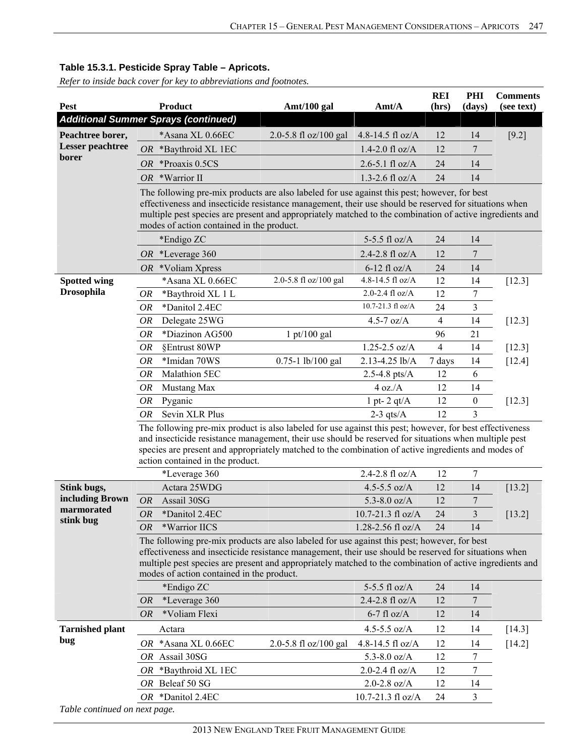|                                                                                                                                                                                                                                                                |                                                                                                                                                                                                              |                                                                                              |                                                                                                          | <b>REI</b>     | PHI              | <b>Comments</b> |  |  |  |  |
|----------------------------------------------------------------------------------------------------------------------------------------------------------------------------------------------------------------------------------------------------------------|--------------------------------------------------------------------------------------------------------------------------------------------------------------------------------------------------------------|----------------------------------------------------------------------------------------------|----------------------------------------------------------------------------------------------------------|----------------|------------------|-----------------|--|--|--|--|
| Pest                                                                                                                                                                                                                                                           | Product                                                                                                                                                                                                      | Amt/100 gal                                                                                  | Amt/A                                                                                                    | (hrs)          | (days)           | (see text)      |  |  |  |  |
|                                                                                                                                                                                                                                                                | <b>Additional Summer Sprays (continued)</b>                                                                                                                                                                  |                                                                                              |                                                                                                          |                |                  |                 |  |  |  |  |
| Peachtree borer,                                                                                                                                                                                                                                               | *Asana XL 0.66EC                                                                                                                                                                                             | 2.0-5.8 fl oz/100 gal                                                                        | 4.8-14.5 fl oz/A                                                                                         | 12             | 14               | $[9.2]$         |  |  |  |  |
| <b>Lesser</b> peachtree                                                                                                                                                                                                                                        | *Baythroid XL 1EC<br>OR                                                                                                                                                                                      |                                                                                              | 1.4-2.0 $fl$ oz/A                                                                                        | 12             | 7                |                 |  |  |  |  |
| borer                                                                                                                                                                                                                                                          | *Proaxis 0.5CS<br><i>OR</i>                                                                                                                                                                                  |                                                                                              | $2.6 - 5.1$ fl oz/A                                                                                      | 24             | 14               |                 |  |  |  |  |
|                                                                                                                                                                                                                                                                | OR *Warrior II                                                                                                                                                                                               |                                                                                              | 1.3-2.6 fl $oz/A$                                                                                        | 24             | 14               |                 |  |  |  |  |
|                                                                                                                                                                                                                                                                | The following pre-mix products are also labeled for use against this pest; however, for best                                                                                                                 |                                                                                              |                                                                                                          |                |                  |                 |  |  |  |  |
|                                                                                                                                                                                                                                                                | effectiveness and insecticide resistance management, their use should be reserved for situations when                                                                                                        |                                                                                              |                                                                                                          |                |                  |                 |  |  |  |  |
|                                                                                                                                                                                                                                                                | multiple pest species are present and appropriately matched to the combination of active ingredients and<br>modes of action contained in the product.                                                        |                                                                                              |                                                                                                          |                |                  |                 |  |  |  |  |
|                                                                                                                                                                                                                                                                | *Endigo ZC                                                                                                                                                                                                   |                                                                                              | 5-5.5 fl oz/A                                                                                            | 24             | 14               |                 |  |  |  |  |
|                                                                                                                                                                                                                                                                | OR *Leverage $360$                                                                                                                                                                                           |                                                                                              | 2.4-2.8 fl oz/A                                                                                          | 12             | 7                |                 |  |  |  |  |
|                                                                                                                                                                                                                                                                | $OR$ *Voliam Xpress                                                                                                                                                                                          |                                                                                              | $6-12$ fl oz/A                                                                                           | 24             | 14               |                 |  |  |  |  |
| <b>Spotted wing</b>                                                                                                                                                                                                                                            | *Asana XL 0.66EC                                                                                                                                                                                             | 2.0-5.8 fl oz/100 gal                                                                        | 4.8-14.5 fl oz/A                                                                                         | 12             | 14               | $[12.3]$        |  |  |  |  |
| <b>Drosophila</b>                                                                                                                                                                                                                                              | *Baythroid XL 1 L<br>OR                                                                                                                                                                                      |                                                                                              | $2.0 - 2.4$ fl oz/A                                                                                      | 12             | 7                |                 |  |  |  |  |
|                                                                                                                                                                                                                                                                | *Danitol 2.4EC<br><b>OR</b>                                                                                                                                                                                  |                                                                                              | 10.7-21.3 fl oz/A                                                                                        | 24             | 3                |                 |  |  |  |  |
|                                                                                                                                                                                                                                                                | Delegate 25WG<br>OR                                                                                                                                                                                          |                                                                                              | 4.5-7 $oz/A$                                                                                             | $\overline{4}$ | 14               | [12.3]          |  |  |  |  |
|                                                                                                                                                                                                                                                                | *Diazinon AG500<br><b>OR</b>                                                                                                                                                                                 | $1 \frac{\text{pt}}{100}$ gal                                                                |                                                                                                          | 96             | 21               |                 |  |  |  |  |
|                                                                                                                                                                                                                                                                | <b>OR</b><br>§Entrust 80WP                                                                                                                                                                                   |                                                                                              | $1.25 - 2.5$ oz/A                                                                                        | $\overline{4}$ | 14               | [12.3]          |  |  |  |  |
|                                                                                                                                                                                                                                                                | <b>OR</b><br>*Imidan 70WS                                                                                                                                                                                    | $0.75 - 1$ lb/100 gal                                                                        | 2.13-4.25 lb/A                                                                                           | 7 days         | 14               | $[12.4]$        |  |  |  |  |
|                                                                                                                                                                                                                                                                | Malathion 5EC<br><i>OR</i>                                                                                                                                                                                   |                                                                                              | 2.5-4.8 pts/ $A$                                                                                         | 12             | 6                |                 |  |  |  |  |
|                                                                                                                                                                                                                                                                | <b>OR</b><br>Mustang Max                                                                                                                                                                                     |                                                                                              | 4 oz.A                                                                                                   | 12             | 14               |                 |  |  |  |  |
|                                                                                                                                                                                                                                                                | <b>OR</b><br>Pyganic                                                                                                                                                                                         |                                                                                              | 1 pt- $2$ qt/ $A$                                                                                        | 12             | $\boldsymbol{0}$ | $[12.3]$        |  |  |  |  |
|                                                                                                                                                                                                                                                                | Sevin XLR Plus<br><b>OR</b>                                                                                                                                                                                  |                                                                                              | $2-3$ qts/A                                                                                              | 12             | 3                |                 |  |  |  |  |
|                                                                                                                                                                                                                                                                |                                                                                                                                                                                                              |                                                                                              | The following pre-mix product is also labeled for use against this pest; however, for best effectiveness |                |                  |                 |  |  |  |  |
|                                                                                                                                                                                                                                                                | and insecticide resistance management, their use should be reserved for situations when multiple pest<br>species are present and appropriately matched to the combination of active ingredients and modes of |                                                                                              |                                                                                                          |                |                  |                 |  |  |  |  |
|                                                                                                                                                                                                                                                                | action contained in the product.                                                                                                                                                                             |                                                                                              |                                                                                                          |                |                  |                 |  |  |  |  |
|                                                                                                                                                                                                                                                                | *Leverage 360                                                                                                                                                                                                |                                                                                              | 2.4-2.8 $fl$ oz/A                                                                                        | 12             | 7                |                 |  |  |  |  |
| Stink bugs,                                                                                                                                                                                                                                                    | Actara 25WDG                                                                                                                                                                                                 |                                                                                              | 4.5-5.5 $oz/A$                                                                                           | 12             | 14               | [13.2]          |  |  |  |  |
| including Brown                                                                                                                                                                                                                                                | Assail 30SG<br><b>OR</b>                                                                                                                                                                                     |                                                                                              | 5.3-8.0 $oz/A$                                                                                           | 12             | 7                |                 |  |  |  |  |
| marmorated                                                                                                                                                                                                                                                     | <b>OR</b><br>*Danitol 2.4EC                                                                                                                                                                                  |                                                                                              | 10.7-21.3 fl oz/A                                                                                        | 24             | 3                | $[13.2]$        |  |  |  |  |
| stink bug                                                                                                                                                                                                                                                      | *Warrior IICS<br>OR                                                                                                                                                                                          |                                                                                              | $1.28 - 2.56$ fl oz/A                                                                                    | 24             | 14               |                 |  |  |  |  |
|                                                                                                                                                                                                                                                                |                                                                                                                                                                                                              | The following pre-mix products are also labeled for use against this pest; however, for best |                                                                                                          |                |                  |                 |  |  |  |  |
| effectiveness and insecticide resistance management, their use should be reserved for situations when<br>multiple pest species are present and appropriately matched to the combination of active ingredients and<br>modes of action contained in the product. |                                                                                                                                                                                                              |                                                                                              |                                                                                                          |                |                  |                 |  |  |  |  |
|                                                                                                                                                                                                                                                                |                                                                                                                                                                                                              |                                                                                              |                                                                                                          |                |                  |                 |  |  |  |  |
|                                                                                                                                                                                                                                                                | *Endigo ZC                                                                                                                                                                                                   |                                                                                              |                                                                                                          |                |                  |                 |  |  |  |  |
|                                                                                                                                                                                                                                                                | *Leverage 360<br><i>OR</i>                                                                                                                                                                                   |                                                                                              | 5-5.5 fl oz/A<br>2.4-2.8 fl oz/A                                                                         | 24<br>12       | 14<br>7          |                 |  |  |  |  |
|                                                                                                                                                                                                                                                                | *Voliam Flexi<br><i>OR</i>                                                                                                                                                                                   |                                                                                              | $6-7$ fl oz/A                                                                                            | 12             | 14               |                 |  |  |  |  |
|                                                                                                                                                                                                                                                                |                                                                                                                                                                                                              |                                                                                              |                                                                                                          |                |                  |                 |  |  |  |  |
| <b>Tarnished plant</b><br>bug                                                                                                                                                                                                                                  | Actara                                                                                                                                                                                                       |                                                                                              | 4.5-5.5 $oz/A$                                                                                           | 12             | 14               | $[14.3]$        |  |  |  |  |
|                                                                                                                                                                                                                                                                | OR *Asana XL 0.66EC                                                                                                                                                                                          | 2.0-5.8 fl oz/100 gal                                                                        | 4.8-14.5 fl oz/A                                                                                         | 12             | 14               | $[14.2]$        |  |  |  |  |
|                                                                                                                                                                                                                                                                | OR Assail 30SG                                                                                                                                                                                               |                                                                                              | 5.3-8.0 $oz/A$                                                                                           | 12             | $\tau$           |                 |  |  |  |  |
|                                                                                                                                                                                                                                                                | *Baythroid XL 1EC<br>OR                                                                                                                                                                                      |                                                                                              | 2.0-2.4 fl oz/A                                                                                          | 12             | 7                |                 |  |  |  |  |
|                                                                                                                                                                                                                                                                | OR Beleaf 50 SG<br>OR *Danitol 2.4EC                                                                                                                                                                         |                                                                                              | $2.0 - 2.8$ oz/A<br>10.7-21.3 fl oz/A                                                                    | 12<br>24       | 14<br>3          |                 |  |  |  |  |
| Table continued on next page.                                                                                                                                                                                                                                  |                                                                                                                                                                                                              |                                                                                              |                                                                                                          |                |                  |                 |  |  |  |  |
|                                                                                                                                                                                                                                                                |                                                                                                                                                                                                              |                                                                                              |                                                                                                          |                |                  |                 |  |  |  |  |